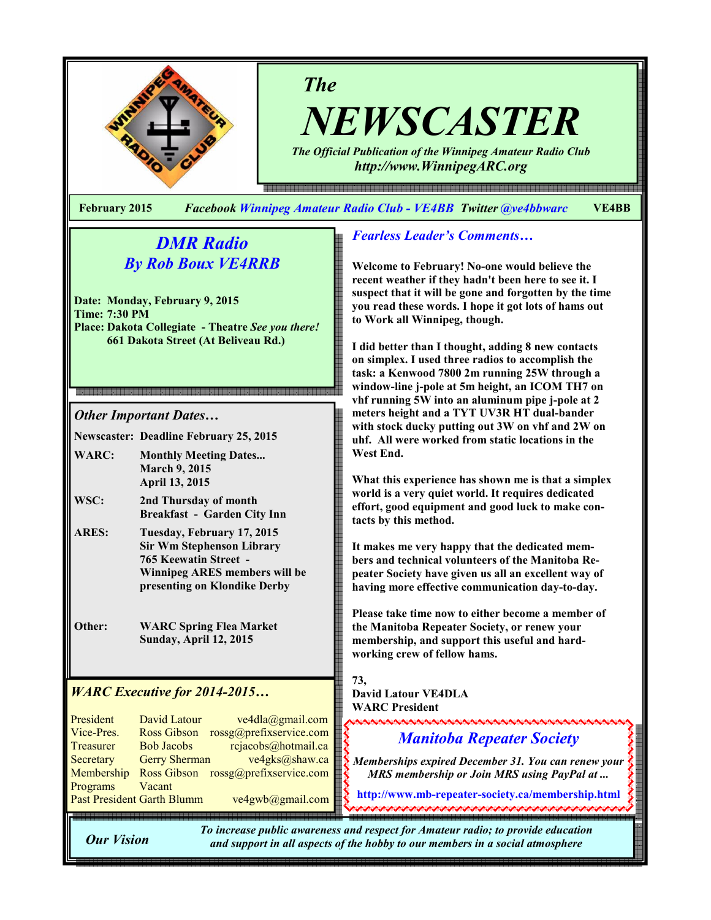

The NEWSCASTER

The Official Publication of the Winnipeg Amateur Radio Club http://www.WinnipegARC.org

e endemaanden en de endemaanden en de en de en de en de en de en de en de en de en de en de en de en de en de en de en de en

February 2015 Facebook Winnipeg Amateur Radio Club - VE4BB Twitter @ve4bbwarc VE4BB

# DMR Radio By Rob Boux VE4RRB

Date: Monday, February 9, 2015 Time: 7:30 PM Place: Dakota Collegiate - Theatre See you there! 661 Dakota Street (At Beliveau Rd.)

## 

Other Important Dates…

Newscaster: Deadline February 25, 2015

- WARC: Monthly Meeting Dates... March 9, 2015 April 13, 2015
- WSC: 2nd Thursday of month Breakfast - Garden City Inn
- ARES: Tuesday, February 17, 2015 Sir Wm Stephenson Library 765 Keewatin Street - Winnipeg ARES members will be presenting on Klondike Derby
- Other: WARC Spring Flea Market Sunday, April 12, 2015

## WARC Executive for 2014-2015…

| President                  | <b>David Latour</b>  | ve4dla@gmail.com        |
|----------------------------|----------------------|-------------------------|
| Vice-Pres.                 | <b>Ross Gibson</b>   | rossg@prefixservice.com |
| Treasurer                  | <b>Bob Jacobs</b>    | rcjacobs@hotmail.ca     |
| Secretary                  | <b>Gerry Sherman</b> | ve4gks@shaw.ca          |
| Membership                 | Ross Gibson          | rossg@prefixservice.com |
| Programs                   | Vacant               |                         |
| Past President Garth Blumm |                      | ve4gwb@gmail.com        |

## Fearless Leader's Comments…

Welcome to February! No-one would believe the recent weather if they hadn't been here to see it. I suspect that it will be gone and forgotten by the time you read these words. I hope it got lots of hams out to Work all Winnipeg, though.

I did better than I thought, adding 8 new contacts on simplex. I used three radios to accomplish the task: a Kenwood 7800 2m running 25W through a window-line j-pole at 5m height, an ICOM TH7 on vhf running 5W into an aluminum pipe j-pole at 2 meters height and a TYT UV3R HT dual-bander with stock ducky putting out 3W on vhf and 2W on uhf. All were worked from static locations in the West End.

What this experience has shown me is that a simplex world is a very quiet world. It requires dedicated effort, good equipment and good luck to make contacts by this method.

It makes me very happy that the dedicated members and technical volunteers of the Manitoba Repeater Society have given us all an excellent way of having more effective communication day-to-day.

Please take time now to either become a member of the Manitoba Repeater Society, or renew your membership, and support this useful and hardworking crew of fellow hams.

### 73,

David Latour VE4DLA WARC President <u>unananananananananananananan</u>

# Manitoba Repeater Society

Memberships expired December 31. You can renew your MRS membership or Join MRS using PayPal at ...

http://www.mb-repeater-society.ca/membership.html

Our Vision

To increase public awareness and respect for Amateur radio; to provide education and support in all aspects of the hobby to our members in a social atmosphere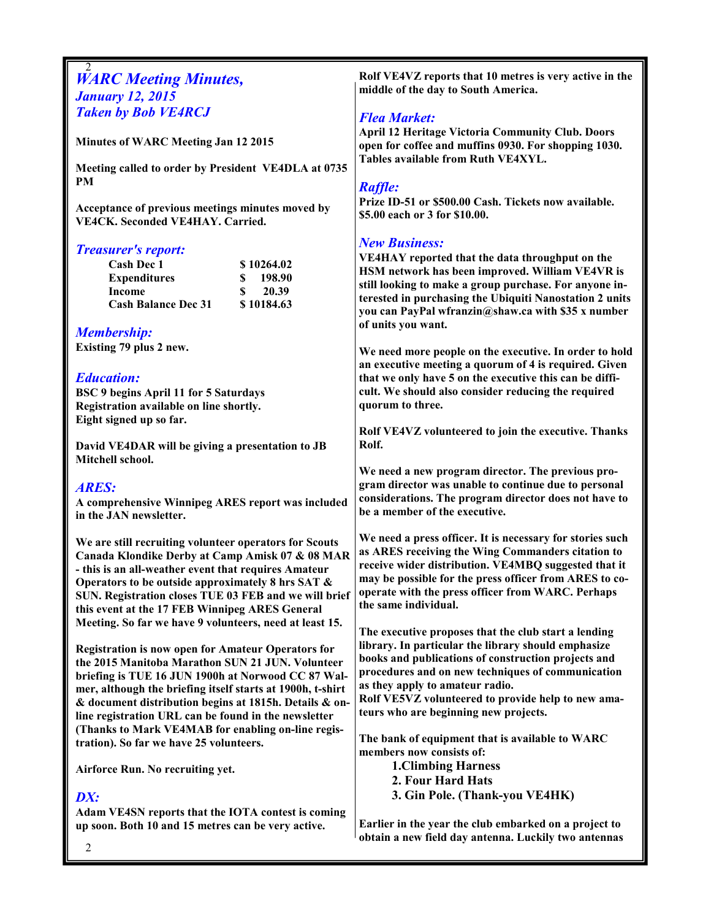### 2 **WARC Meeting Minutes,** January 12, 2015 Taken by Bob VE4RCJ

Minutes of WARC Meeting Jan 12 2015

Meeting called to order by President VE4DLA at 0735 PM

Acceptance of previous meetings minutes moved by VE4CK. Seconded VE4HAY. Carried.

#### Treasurer's report:

| Cash Dec 1                 | \$10264.02 |
|----------------------------|------------|
| <b>Expenditures</b>        | 198.90     |
| Income                     | 20.39      |
| <b>Cash Balance Dec 31</b> | \$10184.63 |

#### Membership:

Existing 79 plus 2 new.

### Education:

BSC 9 begins April 11 for 5 Saturdays Registration available on line shortly. Eight signed up so far.

David VE4DAR will be giving a presentation to JB Mitchell school.

#### ARES:

A comprehensive Winnipeg ARES report was included in the JAN newsletter.

We are still recruiting volunteer operators for Scouts Canada Klondike Derby at Camp Amisk 07 & 08 MAR - this is an all-weather event that requires Amateur Operators to be outside approximately 8 hrs SAT & SUN. Registration closes TUE 03 FEB and we will brief this event at the 17 FEB Winnipeg ARES General Meeting. So far we have 9 volunteers, need at least 15.

Registration is now open for Amateur Operators for the 2015 Manitoba Marathon SUN 21 JUN. Volunteer briefing is TUE 16 JUN 1900h at Norwood CC 87 Walmer, although the briefing itself starts at 1900h, t-shirt & document distribution begins at 1815h. Details & online registration URL can be found in the newsletter (Thanks to Mark VE4MAB for enabling on-line registration). So far we have 25 volunteers.

Airforce Run. No recruiting yet.

### DX:

Adam VE4SN reports that the IOTA contest is coming up soon. Both 10 and 15 metres can be very active.

Rolf VE4VZ reports that 10 metres is very active in the middle of the day to South America.

### Flea Market:

April 12 Heritage Victoria Community Club. Doors open for coffee and muffins 0930. For shopping 1030. Tables available from Ruth VE4XYL.

#### Raffle:

Prize ID-51 or \$500.00 Cash. Tickets now available. \$5.00 each or 3 for \$10.00.

## New Business:

VE4HAY reported that the data throughput on the HSM network has been improved. William VE4VR is still looking to make a group purchase. For anyone interested in purchasing the Ubiquiti Nanostation 2 units you can PayPal wfranzin@shaw.ca with \$35 x number of units you want.

We need more people on the executive. In order to hold an executive meeting a quorum of 4 is required. Given that we only have 5 on the executive this can be difficult. We should also consider reducing the required quorum to three.

Rolf VE4VZ volunteered to join the executive. Thanks Rolf.

We need a new program director. The previous program director was unable to continue due to personal considerations. The program director does not have to be a member of the executive.

We need a press officer. It is necessary for stories such as ARES receiving the Wing Commanders citation to receive wider distribution. VE4MBQ suggested that it may be possible for the press officer from ARES to cooperate with the press officer from WARC. Perhaps the same individual.

The executive proposes that the club start a lending library. In particular the library should emphasize books and publications of construction projects and procedures and on new techniques of communication as they apply to amateur radio.

Rolf VE5VZ volunteered to provide help to new amateurs who are beginning new projects.

The bank of equipment that is available to WARC members now consists of:

> 1.Climbing Harness 2. Four Hard Hats 3. Gin Pole. (Thank-you VE4HK)

Earlier in the year the club embarked on a project to obtain a new field day antenna. Luckily two antennas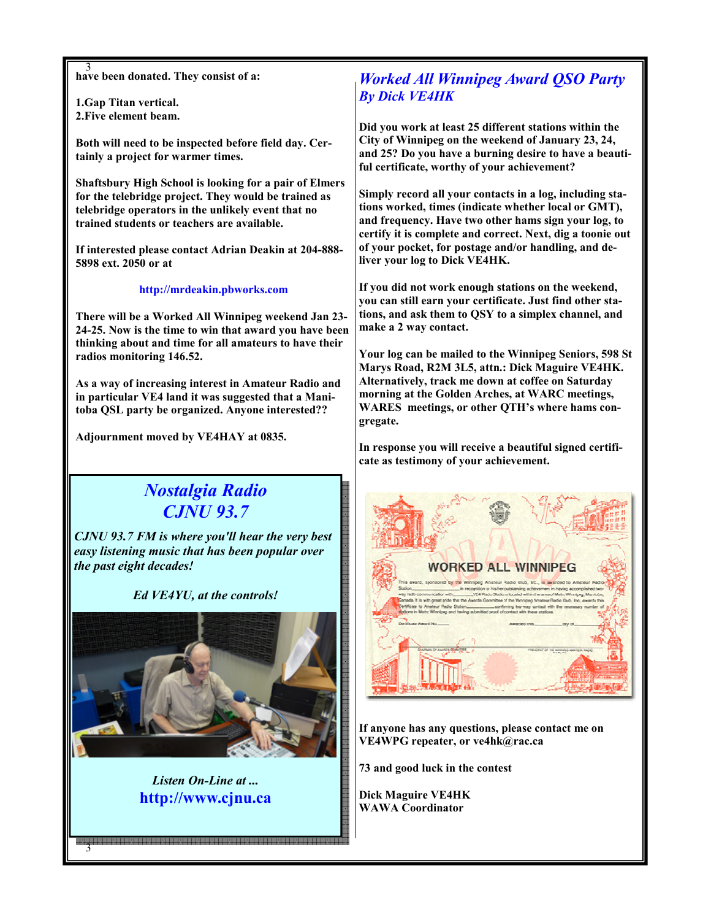3 have been donated. They consist of a:

1.Gap Titan vertical. 2.Five element beam.

Both will need to be inspected before field day. Certainly a project for warmer times.

Shaftsbury High School is looking for a pair of Elmers for the telebridge project. They would be trained as telebridge operators in the unlikely event that no trained students or teachers are available.

If interested please contact Adrian Deakin at 204-888- 5898 ext. 2050 or at

http://mrdeakin.pbworks.com

There will be a Worked All Winnipeg weekend Jan 23- 24-25. Now is the time to win that award you have been thinking about and time for all amateurs to have their radios monitoring 146.52.

As a way of increasing interest in Amateur Radio and in particular VE4 land it was suggested that a Manitoba QSL party be organized. Anyone interested??

Adjournment moved by VE4HAY at 0835.

# Nostalgia Radio CJNU 93.7

CJNU 93.7 FM is where you'll hear the very best easy listening music that has been popular over the past eight decades!

Ed VE4YU, at the controls!



Listen On-Line at ... http://www.cjnu.ca

3

## Worked All Winnipeg Award QSO Party By Dick VE4HK

Did you work at least 25 different stations within the City of Winnipeg on the weekend of January 23, 24, and 25? Do you have a burning desire to have a beautiful certificate, worthy of your achievement?

Simply record all your contacts in a log, including stations worked, times (indicate whether local or GMT), and frequency. Have two other hams sign your log, to certify it is complete and correct. Next, dig a toonie out of your pocket, for postage and/or handling, and deliver your log to Dick VE4HK.

If you did not work enough stations on the weekend, you can still earn your certificate. Just find other stations, and ask them to QSY to a simplex channel, and make a 2 way contact.

Your log can be mailed to the Winnipeg Seniors, 598 St Marys Road, R2M 3L5, attn.: Dick Maguire VE4HK. Alternatively, track me down at coffee on Saturday morning at the Golden Arches, at WARC meetings, WARES meetings, or other QTH's where hams congregate.

In response you will receive a beautiful signed certificate as testimony of your achievement.



If anyone has any questions, please contact me on VE4WPG repeater, or ve4hk@rac.ca

73 and good luck in the contest

Dick Maguire VE4HK WAWA Coordinator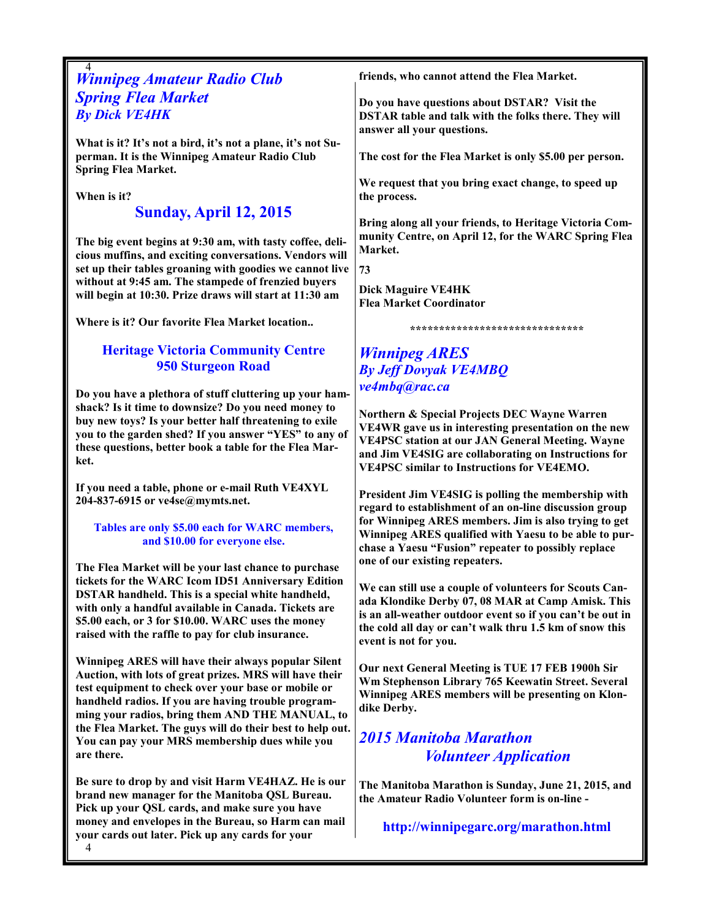## 4 Winnipeg Amateur Radio Club Spring Flea Market By Dick VE4HK

What is it? It's not a bird, it's not a plane, it's not Superman. It is the Winnipeg Amateur Radio Club Spring Flea Market.

When is it?

## Sunday, April 12, 2015

The big event begins at 9:30 am, with tasty coffee, delicious muffins, and exciting conversations. Vendors will set up their tables groaning with goodies we cannot live without at 9:45 am. The stampede of frenzied buyers will begin at 10:30. Prize draws will start at 11:30 am

Where is it? Our favorite Flea Market location..

## Heritage Victoria Community Centre 950 Sturgeon Road

Do you have a plethora of stuff cluttering up your hamshack? Is it time to downsize? Do you need money to buy new toys? Is your better half threatening to exile you to the garden shed? If you answer "YES" to any of these questions, better book a table for the Flea Market.

If you need a table, phone or e-mail Ruth VE4XYL 204-837-6915 or ve4se@mymts.net.

#### Tables are only \$5.00 each for WARC members, and \$10.00 for everyone else.

The Flea Market will be your last chance to purchase tickets for the WARC Icom ID51 Anniversary Edition DSTAR handheld. This is a special white handheld, with only a handful available in Canada. Tickets are \$5.00 each, or 3 for \$10.00. WARC uses the money raised with the raffle to pay for club insurance.

Winnipeg ARES will have their always popular Silent Auction, with lots of great prizes. MRS will have their test equipment to check over your base or mobile or handheld radios. If you are having trouble programming your radios, bring them AND THE MANUAL, to the Flea Market. The guys will do their best to help out. You can pay your MRS membership dues while you are there.

Be sure to drop by and visit Harm VE4HAZ. He is our brand new manager for the Manitoba QSL Bureau. Pick up your QSL cards, and make sure you have money and envelopes in the Bureau, so Harm can mail your cards out later. Pick up any cards for your

friends, who cannot attend the Flea Market.

Do you have questions about DSTAR? Visit the DSTAR table and talk with the folks there. They will answer all your questions.

The cost for the Flea Market is only \$5.00 per person.

We request that you bring exact change, to speed up the process.

Bring along all your friends, to Heritage Victoria Community Centre, on April 12, for the WARC Spring Flea Market.

73

Dick Maguire VE4HK Flea Market Coordinator

#### \*\*\*\*\*\*\*\*\*\*\*\*\*\*\*\*\*\*\*\*\*\*\*\*\*\*\*\*\*\*

## Winnipeg ARES By Jeff Dovyak VE4MBQ ve4mbq@rac.ca

Northern & Special Projects DEC Wayne Warren VE4WR gave us in interesting presentation on the new VE4PSC station at our JAN General Meeting. Wayne and Jim VE4SIG are collaborating on Instructions for VE4PSC similar to Instructions for VE4EMO.

President Jim VE4SIG is polling the membership with regard to establishment of an on-line discussion group for Winnipeg ARES members. Jim is also trying to get Winnipeg ARES qualified with Yaesu to be able to purchase a Yaesu "Fusion" repeater to possibly replace one of our existing repeaters.

We can still use a couple of volunteers for Scouts Canada Klondike Derby 07, 08 MAR at Camp Amisk. This is an all-weather outdoor event so if you can't be out in the cold all day or can't walk thru 1.5 km of snow this event is not for you.

Our next General Meeting is TUE 17 FEB 1900h Sir Wm Stephenson Library 765 Keewatin Street. Several Winnipeg ARES members will be presenting on Klondike Derby.

## 2015 Manitoba Marathon Volunteer Application

The Manitoba Marathon is Sunday, June 21, 2015, and the Amateur Radio Volunteer form is on-line -

http://winnipegarc.org/marathon.html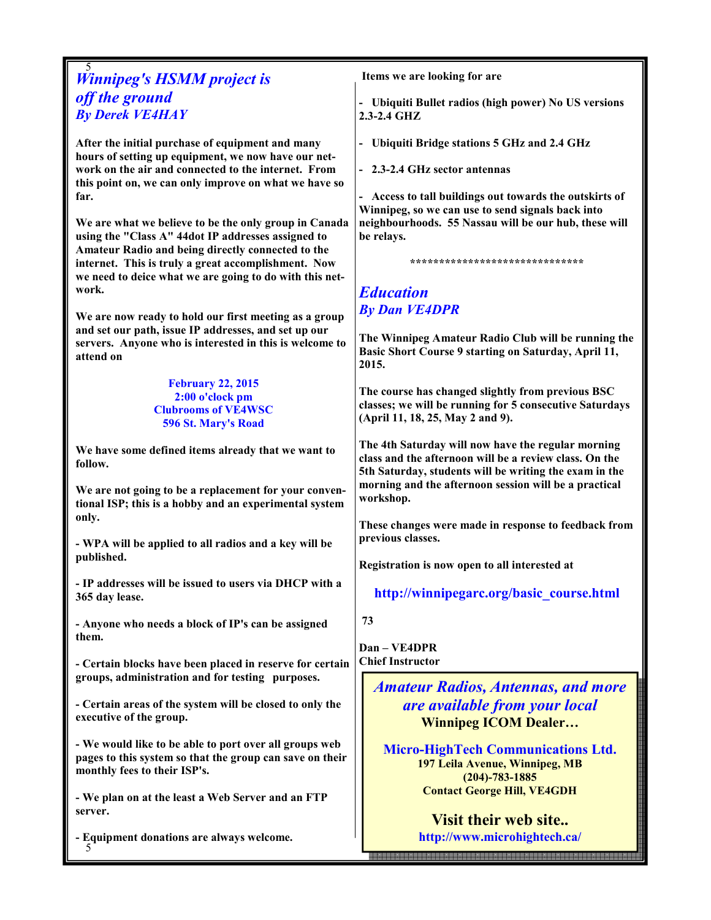## 5 Winnipeg's HSMM project is off the ground By Derek VE4HAY

After the initial purchase of equipment and many hours of setting up equipment, we now have our network on the air and connected to the internet. From this point on, we can only improve on what we have so far.

We are what we believe to be the only group in Canada using the "Class A" 44dot IP addresses assigned to Amateur Radio and being directly connected to the internet. This is truly a great accomplishment. Now we need to deice what we are going to do with this network.

We are now ready to hold our first meeting as a group and set our path, issue IP addresses, and set up our servers. Anyone who is interested in this is welcome to attend on

#### February 22, 2015 2:00 o'clock pm Clubrooms of VE4WSC 596 St. Mary's Road

We have some defined items already that we want to follow.

We are not going to be a replacement for your conventional ISP; this is a hobby and an experimental system only.

- WPA will be applied to all radios and a key will be published.

- IP addresses will be issued to users via DHCP with a 365 day lease.

- Anyone who needs a block of IP's can be assigned them.

- Certain blocks have been placed in reserve for certain groups, administration and for testing purposes.

- Certain areas of the system will be closed to only the executive of the group.

- We would like to be able to port over all groups web pages to this system so that the group can save on their monthly fees to their ISP's.

- We plan on at the least a Web Server and an FTP server.

5 - Equipment donations are always welcome. Items we are looking for are

- Ubiquiti Bullet radios (high power) No US versions 2.3-2.4 GHZ

- Ubiquiti Bridge stations 5 GHz and 2.4 GHz

- 2.3-2.4 GHz sector antennas

- Access to tall buildings out towards the outskirts of Winnipeg, so we can use to send signals back into neighbourhoods. 55 Nassau will be our hub, these will be relays.

\*\*\*\*\*\*\*\*\*\*\*\*\*\*\*\*\*\*\*\*\*\*\*\*\*\*\*\*\*\*

## Education By Dan VE4DPR

The Winnipeg Amateur Radio Club will be running the Basic Short Course 9 starting on Saturday, April 11, 2015.

The course has changed slightly from previous BSC classes; we will be running for 5 consecutive Saturdays (April 11, 18, 25, May 2 and 9).

The 4th Saturday will now have the regular morning class and the afternoon will be a review class. On the 5th Saturday, students will be writing the exam in the morning and the afternoon session will be a practical workshop.

These changes were made in response to feedback from previous classes.

Registration is now open to all interested at

http://winnipegarc.org/basic\_course.html

73

Dan – VE4DPR Chief Instructor

> Amateur Radios, Antennas, and more are available from your local Winnipeg ICOM Dealer…

Micro-HighTech Communications Ltd. 197 Leila Avenue, Winnipeg, MB (204)-783-1885 Contact George Hill, VE4GDH

> Visit their web site.. http://www.microhightech.ca/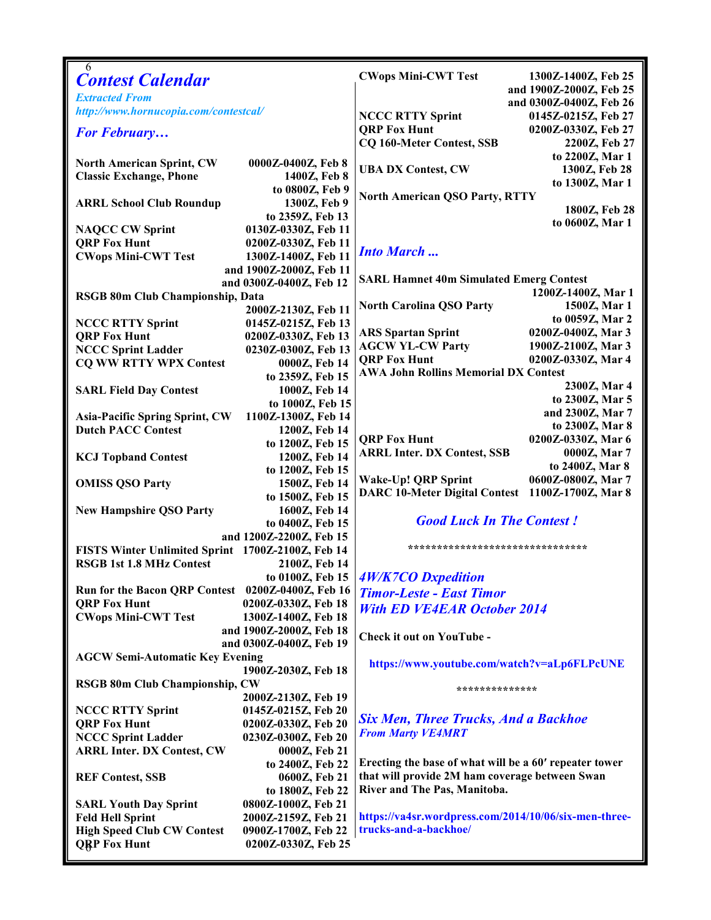| 6                                                 |                         |                                                        |                                  |  |
|---------------------------------------------------|-------------------------|--------------------------------------------------------|----------------------------------|--|
| <b>Contest Calendar</b>                           |                         | <b>CWops Mini-CWT Test</b>                             | 1300Z-1400Z, Feb 25              |  |
| <b>Extracted From</b>                             |                         |                                                        | and 1900Z-2000Z, Feb 25          |  |
| http://www.hornucopia.com/contestcal/             |                         | and 0300Z-0400Z, Feb 26                                |                                  |  |
|                                                   |                         | <b>NCCC RTTY Sprint</b>                                | 0145Z-0215Z, Feb 27              |  |
| <b>For February</b>                               |                         | <b>QRP Fox Hunt</b>                                    | 0200Z-0330Z, Feb 27              |  |
|                                                   |                         | <b>CQ 160-Meter Contest, SSB</b>                       | 2200Z, Feb 27                    |  |
| <b>North American Sprint, CW</b>                  | 0000Z-0400Z, Feb 8      |                                                        | to 2200Z, Mar 1                  |  |
| <b>Classic Exchange, Phone</b>                    | 1400Z, Feb 8            | <b>UBA DX Contest, CW</b>                              | 1300Z, Feb 28                    |  |
|                                                   | to 0800Z, Feb 9         |                                                        | to 1300Z, Mar 1                  |  |
| <b>ARRL School Club Roundup</b>                   | 1300Z, Feb 9            | <b>North American QSO Party, RTTY</b>                  |                                  |  |
|                                                   | to 2359Z, Feb 13        |                                                        | 1800Z, Feb 28                    |  |
| <b>NAQCC CW Sprint</b>                            | 0130Z-0330Z, Feb 11     |                                                        | to 0600Z, Mar 1                  |  |
| <b>QRP Fox Hunt</b>                               | 0200Z-0330Z, Feb 11     |                                                        |                                  |  |
| <b>CWops Mini-CWT Test</b>                        | 1300Z-1400Z, Feb 11     | <b>Into March</b>                                      |                                  |  |
|                                                   | and 1900Z-2000Z, Feb 11 |                                                        |                                  |  |
| and 0300Z-0400Z, Feb 12                           |                         | <b>SARL Hamnet 40m Simulated Emerg Contest</b>         |                                  |  |
| RSGB 80m Club Championship, Data                  |                         |                                                        | 1200Z-1400Z, Mar 1               |  |
|                                                   | 2000Z-2130Z, Feb 11     | <b>North Carolina QSO Party</b>                        | 1500Z, Mar 1                     |  |
| <b>NCCC RTTY Sprint</b>                           | 0145Z-0215Z, Feb 13     |                                                        | to 0059Z, Mar 2                  |  |
| <b>QRP Fox Hunt</b>                               | 0200Z-0330Z, Feb 13     | <b>ARS Spartan Sprint</b>                              | 0200Z-0400Z, Mar 3               |  |
| <b>NCCC Sprint Ladder</b>                         | 0230Z-0300Z, Feb 13     | <b>AGCW YL-CW Party</b>                                | 1900Z-2100Z, Mar 3               |  |
| <b>CO WW RTTY WPX Contest</b>                     | 0000Z, Feb 14           | <b>QRP Fox Hunt</b>                                    | 0200Z-0330Z, Mar 4               |  |
|                                                   | to 2359Z, Feb 15        | <b>AWA John Rollins Memorial DX Contest</b>            |                                  |  |
| <b>SARL Field Day Contest</b>                     | 1000Z, Feb 14           |                                                        | 2300Z, Mar 4                     |  |
|                                                   | to 1000Z, Feb 15        |                                                        | to 2300Z, Mar 5                  |  |
| <b>Asia-Pacific Spring Sprint, CW</b>             | 1100Z-1300Z, Feb 14     |                                                        | and 2300Z, Mar 7                 |  |
| <b>Dutch PACC Contest</b>                         | 1200Z, Feb 14           |                                                        | to 2300Z, Mar 8                  |  |
|                                                   | to 1200Z, Feb 15        | <b>QRP Fox Hunt</b>                                    | 0200Z-0330Z, Mar 6               |  |
| <b>KCJ Topband Contest</b>                        | 1200Z, Feb 14           | <b>ARRL Inter. DX Contest, SSB</b>                     | 0000Z, Mar 7                     |  |
|                                                   | to 1200Z, Feb 15        |                                                        | to 2400Z, Mar 8                  |  |
| <b>OMISS QSO Party</b>                            | 1500Z, Feb 14           | Wake-Up! QRP Sprint                                    | 0600Z-0800Z, Mar 7               |  |
|                                                   | to 1500Z, Feb 15        | <b>DARC 10-Meter Digital Contest</b>                   | 1100Z-1700Z, Mar 8               |  |
| <b>New Hampshire QSO Party</b>                    | 1600Z, Feb 14           |                                                        |                                  |  |
|                                                   | to 0400Z, Feb 15        | <b>Good Luck In The Contest!</b>                       |                                  |  |
|                                                   | and 1200Z-2200Z, Feb 15 |                                                        |                                  |  |
| FISTS Winter Unlimited Sprint 1700Z-2100Z, Feb 14 |                         |                                                        | ******************************** |  |
| <b>RSGB 1st 1.8 MHz Contest</b>                   | 2100Z, Feb 14           |                                                        |                                  |  |
|                                                   | to 0100Z, Feb 15        | $4W/K7CO$ Dxpedition                                   |                                  |  |
| Run for the Bacon QRP Contest 0200Z-0400Z, Feb 16 |                         | <b>Timor-Leste - East Timor</b>                        |                                  |  |
| <b>QRP Fox Hunt</b>                               | 0200Z-0330Z, Feb 18     | <b>With ED VE4EAR October 2014</b>                     |                                  |  |
| <b>CWops Mini-CWT Test</b>                        | 1300Z-1400Z, Feb 18     |                                                        |                                  |  |
|                                                   | and 1900Z-2000Z, Feb 18 | Check it out on YouTube -                              |                                  |  |
|                                                   | and 0300Z-0400Z, Feb 19 |                                                        |                                  |  |
| <b>AGCW Semi-Automatic Key Evening</b>            |                         | https://www.youtube.com/watch?v=aLp6FLPcUNE            |                                  |  |
|                                                   | 1900Z-2030Z, Feb 18     |                                                        |                                  |  |
| <b>RSGB 80m Club Championship, CW</b>             |                         | **************                                         |                                  |  |
|                                                   | 2000Z-2130Z, Feb 19     |                                                        |                                  |  |
| <b>NCCC RTTY Sprint</b>                           | 0145Z-0215Z, Feb 20     |                                                        |                                  |  |
| <b>QRP Fox Hunt</b>                               | 0200Z-0330Z, Feb 20     | <b>Six Men, Three Trucks, And a Backhoe</b>            |                                  |  |
| <b>NCCC Sprint Ladder</b>                         | 0230Z-0300Z, Feb 20     | <b>From Marty VE4MRT</b>                               |                                  |  |
| <b>ARRL Inter. DX Contest, CW</b>                 | 0000Z, Feb 21           |                                                        |                                  |  |
|                                                   | to 2400Z, Feb 22        | Erecting the base of what will be a 60' repeater tower |                                  |  |
| <b>REF Contest, SSB</b>                           | 0600Z, Feb 21           | that will provide 2M ham coverage between Swan         |                                  |  |
|                                                   | to 1800Z, Feb 22        | River and The Pas, Manitoba.                           |                                  |  |
| <b>SARL Youth Day Sprint</b>                      | 0800Z-1000Z, Feb 21     |                                                        |                                  |  |
| <b>Feld Hell Sprint</b>                           | 2000Z-2159Z, Feb 21     | https://va4sr.wordpress.com/2014/10/06/six-men-three-  |                                  |  |
| <b>High Speed Club CW Contest</b>                 | 0900Z-1700Z, Feb 22     | trucks-and-a-backhoe/                                  |                                  |  |
| <b>QRP Fox Hunt</b>                               | 0200Z-0330Z, Feb 25     |                                                        |                                  |  |
|                                                   |                         |                                                        |                                  |  |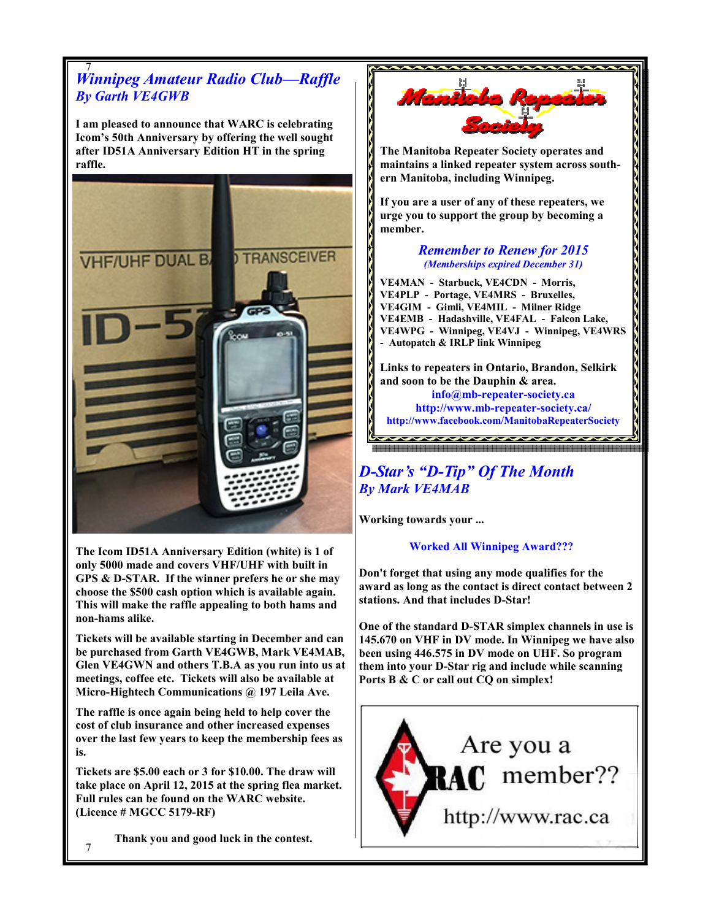

The Icom ID51A Anniversary Edition (white) is 1 of only 5000 made and covers VHF/UHF with built in GPS & D-STAR. If the winner prefers he or she may choose the \$500 cash option which is available again. This will make the raffle appealing to both hams and non-hams alike.

Tickets will be available starting in December and can be purchased from Garth VE4GWB, Mark VE4MAB, Glen VE4GWN and others T.B.A as you run into us at meetings, coffee etc. Tickets will also be available at Micro-Hightech Communications @ 197 Leila Ave.

The raffle is once again being held to help cover the cost of club insurance and other increased expenses over the last few years to keep the membership fees as is.

Tickets are \$5.00 each or 3 for \$10.00. The draw will take place on April 12, 2015 at the spring flea market. Full rules can be found on the WARC website. (Licence # MGCC 5179-RF)

Thank you and good luck in the contest.

Worked All Winnipeg Award???

Don't forget that using any mode qualifies for the award as long as the contact is direct contact between 2 stations. And that includes D-Star!

One of the standard D-STAR simplex channels in use is 145.670 on VHF in DV mode. In Winnipeg we have also been using 446.575 in DV mode on UHF. So program them into your D-Star rig and include while scanning Ports B & C or call out CQ on simplex!



7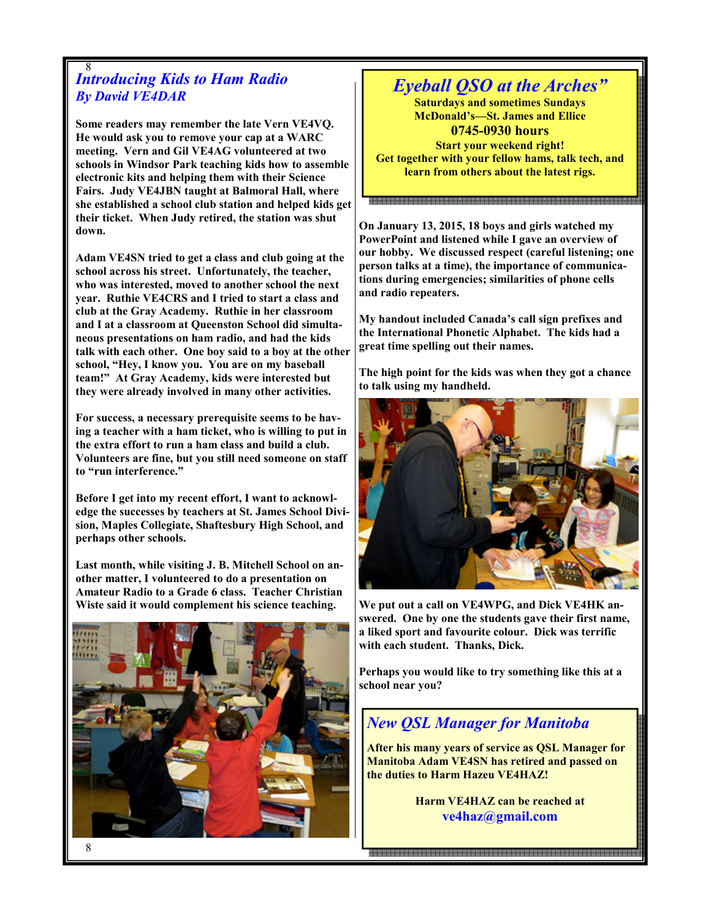#### 8 **Introducing Kids to Ham Radio** By David VE4DAR

Some readers may remember the late Vern VE4VQ. He would ask you to remove your cap at a WARC meeting. Vern and Gil VE4AG volunteered at two schools in Windsor Park teaching kids how to assemble electronic kits and helping them with their Science Fairs. Judy VE4JBN taught at Balmoral Hall, where she established a school club station and helped kids get their ticket. When Judy retired, the station was shut down.

Adam VE4SN tried to get a class and club going at the school across his street. Unfortunately, the teacher, who was interested, moved to another school the next year. Ruthie VE4CRS and I tried to start a class and club at the Gray Academy. Ruthie in her classroom and I at a classroom at Queenston School did simultaneous presentations on ham radio, and had the kids talk with each other. One boy said to a boy at the other school, "Hey, I know you. You are on my baseball team!" At Gray Academy, kids were interested but they were already involved in many other activities.

For success, a necessary prerequisite seems to be having a teacher with a ham ticket, who is willing to put in the extra effort to run a ham class and build a club. Volunteers are fine, but you still need someone on staff to "run interference."

Before I get into my recent effort, I want to acknowledge the successes by teachers at St. James School Division, Maples Collegiate, Shaftesbury High School, and perhaps other schools.

Last month, while visiting J. B. Mitchell School on another matter, I volunteered to do a presentation on Amateur Radio to a Grade 6 class. Teacher Christian Wiste said it would complement his science teaching.



## Eyeball QSO at the Arches"

Saturdays and sometimes Sundays McDonald's—St. James and Ellice 0745-0930 hours Start your weekend right! Get together with your fellow hams, talk tech, and learn from others about the latest rigs.

On January 13, 2015, 18 boys and girls watched my PowerPoint and listened while I gave an overview of our hobby. We discussed respect (careful listening; one person talks at a time), the importance of communications during emergencies; similarities of phone cells and radio repeaters.

My handout included Canada's call sign prefixes and the International Phonetic Alphabet. The kids had a great time spelling out their names.

The high point for the kids was when they got a chance to talk using my handheld.



We put out a call on VE4WPG, and Dick VE4HK answered. One by one the students gave their first name, a liked sport and favourite colour. Dick was terrific with each student. Thanks, Dick.

Perhaps you would like to try something like this at a school near you?

## New QSL Manager for Manitoba

After his many years of service as QSL Manager for Manitoba Adam VE4SN has retired and passed on the duties to Harm Hazeu VE4HAZ!

> Harm VE4HAZ can be reached at ve4haz@gmail.com